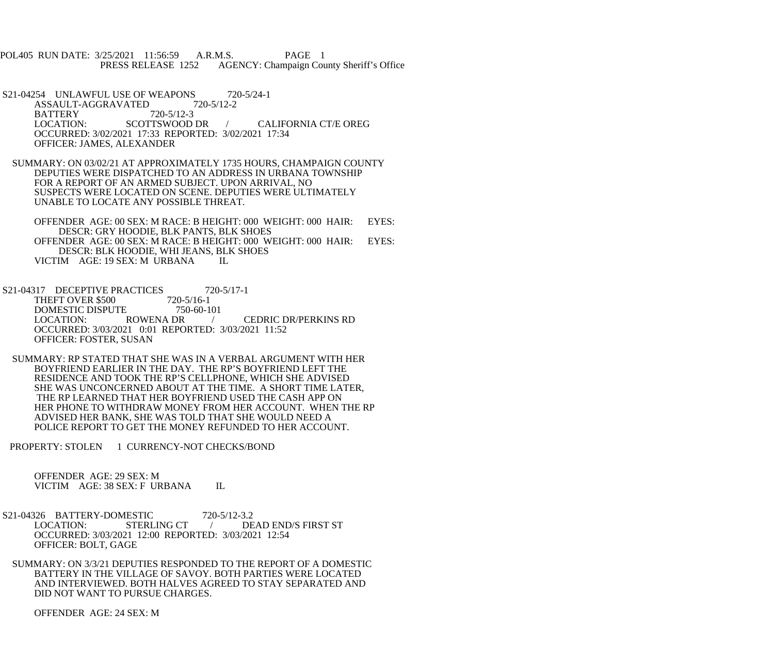POL405 RUN DATE: 3/25/2021 11:56:59 A.R.M.S. PAGE 1 PRESS RELEASE 1252 AGENCY: Champaign County Sheriff's Office

S21-04254 UNLAWFUL USE OF WEAPONS 720-5/24-1<br>ASSAULT-AGGRAVATED 720-5/12-2 ASSAULT-AGGRAVATED BATTERY 720-5/12-3<br>LOCATION: SCOTTSWOOD DR LOCATION: SCOTTSWOOD DR / CALIFORNIA CT/E OREG OCCURRED: 3/02/2021 17:33 REPORTED: 3/02/2021 17:34 OFFICER: JAMES, ALEXANDER

 SUMMARY: ON 03/02/21 AT APPROXIMATELY 1735 HOURS, CHAMPAIGN COUNTY DEPUTIES WERE DISPATCHED TO AN ADDRESS IN URBANA TOWNSHIP FOR A REPORT OF AN ARMED SUBJECT. UPON ARRIVAL, NO SUSPECTS WERE LOCATED ON SCENE. DEPUTIES WERE ULTIMATELY UNABLE TO LOCATE ANY POSSIBLE THREAT.

 OFFENDER AGE: 00 SEX: M RACE: B HEIGHT: 000 WEIGHT: 000 HAIR: EYES: DESCR: GRY HOODIE, BLK PANTS, BLK SHOES OFFENDER AGE: 00 SEX: M RACE: B HEIGHT: 000 WEIGHT: 000 HAIR: EYES: DESCR: BLK HOODIE, WHI JEANS, BLK SHOES VICTIM AGE: 19 SEX: M URBANA IL

- S21-04317 DECEPTIVE PRACTICES 720-5/17-1<br>THEFT OVER \$500 720-5/16-1 THEFT OVER \$500 DOMESTIC DISPUTE 750-60-101<br>LOCATION: ROWENA DR LOCATION: ROWENA DR / CEDRIC DR/PERKINS RD OCCURRED: 3/03/2021 0:01 REPORTED: 3/03/2021 11:52 OFFICER: FOSTER, SUSAN
- SUMMARY: RP STATED THAT SHE WAS IN A VERBAL ARGUMENT WITH HER BOYFRIEND EARLIER IN THE DAY. THE RP'S BOYFRIEND LEFT THE RESIDENCE AND TOOK THE RP'S CELLPHONE, WHICH SHE ADVISED SHE WAS UNCONCERNED ABOUT AT THE TIME. A SHORT TIME LATER, THE RP LEARNED THAT HER BOYFRIEND USED THE CASH APP ON HER PHONE TO WITHDRAW MONEY FROM HER ACCOUNT. WHEN THE RP ADVISED HER BANK, SHE WAS TOLD THAT SHE WOULD NEED A POLICE REPORT TO GET THE MONEY REFUNDED TO HER ACCOUNT.
- PROPERTY: STOLEN 1 CURRENCY-NOT CHECKS/BOND

 OFFENDER AGE: 29 SEX: M VICTIM AGE: 38 SEX: F URBANA IL

- S21-04326 BATTERY-DOMESTIC 720-5/12-3.2<br>LOCATION: STERLING CT / DE LOCATION: STERLING CT / DEAD END/S FIRST ST OCCURRED: 3/03/2021 12:00 REPORTED: 3/03/2021 12:54 OFFICER: BOLT, GAGE
- SUMMARY: ON 3/3/21 DEPUTIES RESPONDED TO THE REPORT OF A DOMESTIC BATTERY IN THE VILLAGE OF SAVOY. BOTH PARTIES WERE LOCATED AND INTERVIEWED. BOTH HALVES AGREED TO STAY SEPARATED AND DID NOT WANT TO PURSUE CHARGES.

OFFENDER AGE: 24 SEX: M